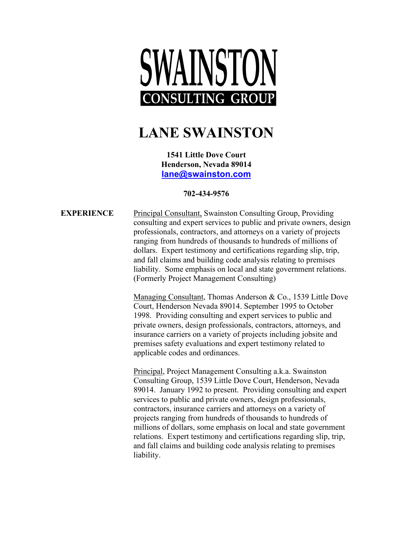# SWAINSTON **CONSULTING GROUP**

# **LANE SWAINSTON**

**1541 Little Dove Court Henderson, Nevada 89014 [lane@swainston.com](mailto:lane@swainston.com)**

## **702-434-9576**

**EXPERIENCE** Principal Consultant, Swainston Consulting Group, Providing consulting and expert services to public and private owners, design professionals, contractors, and attorneys on a variety of projects ranging from hundreds of thousands to hundreds of millions of dollars. Expert testimony and certifications regarding slip, trip, and fall claims and building code analysis relating to premises liability. Some emphasis on local and state government relations. (Formerly Project Management Consulting)

> Managing Consultant, Thomas Anderson & Co., 1539 Little Dove Court, Henderson Nevada 89014. September 1995 to October 1998. Providing consulting and expert services to public and private owners, design professionals, contractors, attorneys, and insurance carriers on a variety of projects including jobsite and premises safety evaluations and expert testimony related to applicable codes and ordinances.

> Principal, Project Management Consulting a.k.a. Swainston Consulting Group, 1539 Little Dove Court, Henderson, Nevada 89014. January 1992 to present. Providing consulting and expert services to public and private owners, design professionals, contractors, insurance carriers and attorneys on a variety of projects ranging from hundreds of thousands to hundreds of millions of dollars, some emphasis on local and state government relations. Expert testimony and certifications regarding slip, trip, and fall claims and building code analysis relating to premises liability.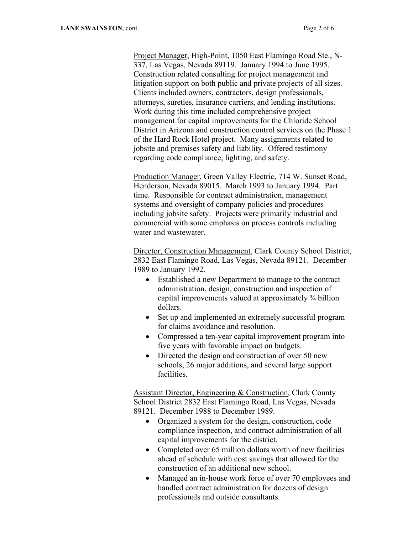Project Manager, High-Point, 1050 East Flamingo Road Ste., N-337, Las Vegas, Nevada 89119. January 1994 to June 1995. Construction related consulting for project management and litigation support on both public and private projects of all sizes. Clients included owners, contractors, design professionals, attorneys, sureties, insurance carriers, and lending institutions. Work during this time included comprehensive project management for capital improvements for the Chloride School District in Arizona and construction control services on the Phase 1 of the Hard Rock Hotel project. Many assignments related to jobsite and premises safety and liability. Offered testimony regarding code compliance, lighting, and safety.

Production Manager, Green Valley Electric, 714 W. Sunset Road, Henderson, Nevada 89015. March 1993 to January 1994. Part time. Responsible for contract administration, management systems and oversight of company policies and procedures including jobsite safety. Projects were primarily industrial and commercial with some emphasis on process controls including water and wastewater.

Director, Construction Management, Clark County School District, 2832 East Flamingo Road, Las Vegas, Nevada 89121. December 1989 to January 1992.

- Established a new Department to manage to the contract administration, design, construction and inspection of capital improvements valued at approximately ¾ billion dollars.
- Set up and implemented an extremely successful program for claims avoidance and resolution.
- Compressed a ten-year capital improvement program into five years with favorable impact on budgets.
- Directed the design and construction of over 50 new schools, 26 major additions, and several large support facilities.

Assistant Director, Engineering & Construction, Clark County School District 2832 East Flamingo Road, Las Vegas, Nevada 89121. December 1988 to December 1989.

- Organized a system for the design, construction, code compliance inspection, and contract administration of all capital improvements for the district.
- Completed over 65 million dollars worth of new facilities ahead of schedule with cost savings that allowed for the construction of an additional new school.
- Managed an in-house work force of over 70 employees and handled contract administration for dozens of design professionals and outside consultants.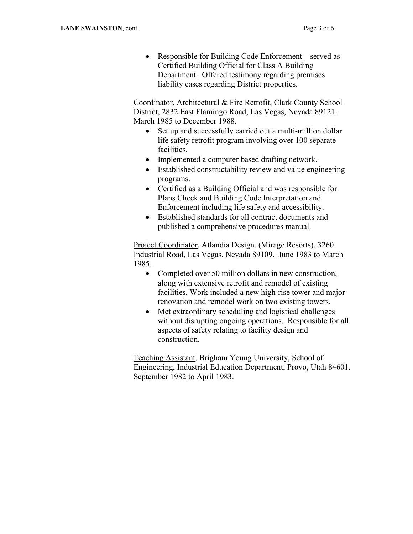• Responsible for Building Code Enforcement – served as Certified Building Official for Class A Building Department. Offered testimony regarding premises liability cases regarding District properties.

Coordinator, Architectural & Fire Retrofit, Clark County School District, 2832 East Flamingo Road, Las Vegas, Nevada 89121. March 1985 to December 1988.

- Set up and successfully carried out a multi-million dollar life safety retrofit program involving over 100 separate facilities.
- Implemented a computer based drafting network.
- Established constructability review and value engineering programs.
- Certified as a Building Official and was responsible for Plans Check and Building Code Interpretation and Enforcement including life safety and accessibility.
- Established standards for all contract documents and published a comprehensive procedures manual.

Project Coordinator, Atlandia Design, (Mirage Resorts), 3260 Industrial Road, Las Vegas, Nevada 89109. June 1983 to March 1985.

- Completed over 50 million dollars in new construction, along with extensive retrofit and remodel of existing facilities. Work included a new high-rise tower and major renovation and remodel work on two existing towers.
- Met extraordinary scheduling and logistical challenges without disrupting ongoing operations. Responsible for all aspects of safety relating to facility design and construction.

Teaching Assistant, Brigham Young University, School of Engineering, Industrial Education Department, Provo, Utah 84601. September 1982 to April 1983.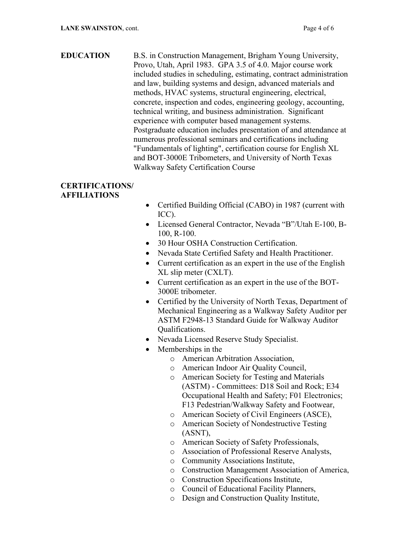### **EDUCATION** B.S. in Construction Management, Brigham Young University, Provo, Utah, April 1983. GPA 3.5 of 4.0. Major course work included studies in scheduling, estimating, contract administration and law, building systems and design, advanced materials and methods, HVAC systems, structural engineering, electrical, concrete, inspection and codes, engineering geology, accounting, technical writing, and business administration. Significant experience with computer based management systems. Postgraduate education includes presentation of and attendance at numerous professional seminars and certifications including "Fundamentals of lighting", certification course for English XL and BOT-3000E Tribometers, and University of North Texas Walkway Safety Certification Course

### **CERTIFICATIONS/ AFFILIATIONS**

- Certified Building Official (CABO) in 1987 (current with ICC).
- Licensed General Contractor, Nevada "B"/Utah E-100, B-100, R-100.
- 30 Hour OSHA Construction Certification.
- Nevada State Certified Safety and Health Practitioner.
- Current certification as an expert in the use of the English XL slip meter (CXLT).
- Current certification as an expert in the use of the BOT-3000E tribometer.
- Certified by the University of North Texas, Department of Mechanical Engineering as a Walkway Safety Auditor per ASTM F2948-13 Standard Guide for Walkway Auditor Qualifications.
- Nevada Licensed Reserve Study Specialist.
- Memberships in the
	- o American Arbitration Association,
	- o American Indoor Air Quality Council,
	- o American Society for Testing and Materials (ASTM) - Committees: D18 Soil and Rock; E34 Occupational Health and Safety; F01 Electronics; F13 Pedestrian/Walkway Safety and Footwear,
	- o American Society of Civil Engineers (ASCE),
	- o American Society of Nondestructive Testing (ASNT),
	- o American Society of Safety Professionals,
	- o Association of Professional Reserve Analysts,
	- o Community Associations Institute,
	- o Construction Management Association of America,
	- o Construction Specifications Institute,
	- o Council of Educational Facility Planners,
	- o Design and Construction Quality Institute,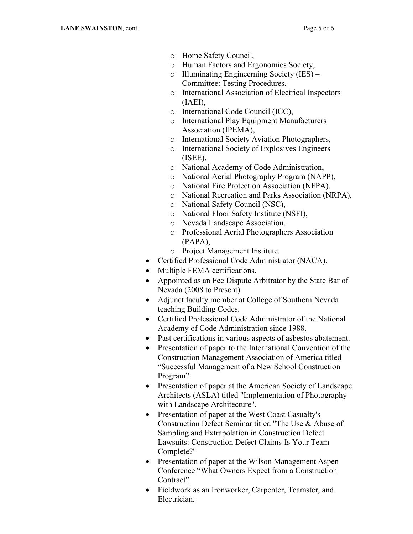- o Home Safety Council,
- o Human Factors and Ergonomics Society,
- o Illuminating Engineerning Society (IES) Committee: Testing Procedures,
- o International Association of Electrical Inspectors (IAEI),
- o International Code Council (ICC),
- o International Play Equipment Manufacturers Association (IPEMA),
- o International Society Aviation Photographers,
- o International Society of Explosives Engineers (ISEE),
- o National Academy of Code Administration,
- o National Aerial Photography Program (NAPP),
- o National Fire Protection Association (NFPA),
- o National Recreation and Parks Association (NRPA),
- o National Safety Council (NSC),
- o National Floor Safety Institute (NSFI),
- o Nevada Landscape Association,
- o Professional Aerial Photographers Association (PAPA),
- o Project Management Institute.
- Certified Professional Code Administrator (NACA).
- Multiple FEMA certifications.
- Appointed as an Fee Dispute Arbitrator by the State Bar of Nevada (2008 to Present)
- Adjunct faculty member at College of Southern Nevada teaching Building Codes.
- Certified Professional Code Administrator of the National Academy of Code Administration since 1988.
- Past certifications in various aspects of asbestos abatement.
- Presentation of paper to the International Convention of the Construction Management Association of America titled "Successful Management of a New School Construction Program".
- Presentation of paper at the American Society of Landscape Architects (ASLA) titled "Implementation of Photography with Landscape Architecture".
- Presentation of paper at the West Coast Casualty's Construction Defect Seminar titled "The Use & Abuse of Sampling and Extrapolation in Construction Defect Lawsuits: Construction Defect Claims-Is Your Team Complete?"
- Presentation of paper at the Wilson Management Aspen Conference "What Owners Expect from a Construction Contract".
- Fieldwork as an Ironworker, Carpenter, Teamster, and Electrician.